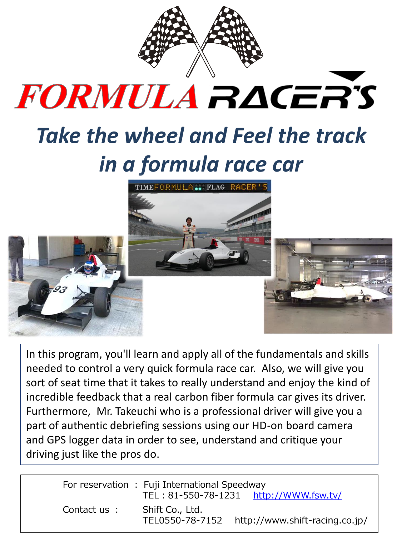

## FORMULA RACER'S

## *Take the wheel and Feel the track in a formula race car*



In this program, you'll learn and apply all of the fundamentals and skills needed to control a very quick formula race car. Also, we will give you sort of seat time that it takes to really understand and enjoy the kind of incredible feedback that a real carbon fiber formula car gives its driver. Furthermore, Mr. Takeuchi who is a professional driver will give you a part of authentic debriefing sessions using our HD-on board camera and GPS logger data in order to see, understand and critique your driving just like the pros do.

|             | For reservation : Fuji International Speedway | TEL: 81-550-78-1231 http://WWW.fsw.tv/ |
|-------------|-----------------------------------------------|----------------------------------------|
| Contact us: | Shift Co., Ltd.<br>TEL0550-78-7152            | http://www.shift-racing.co.jp/         |